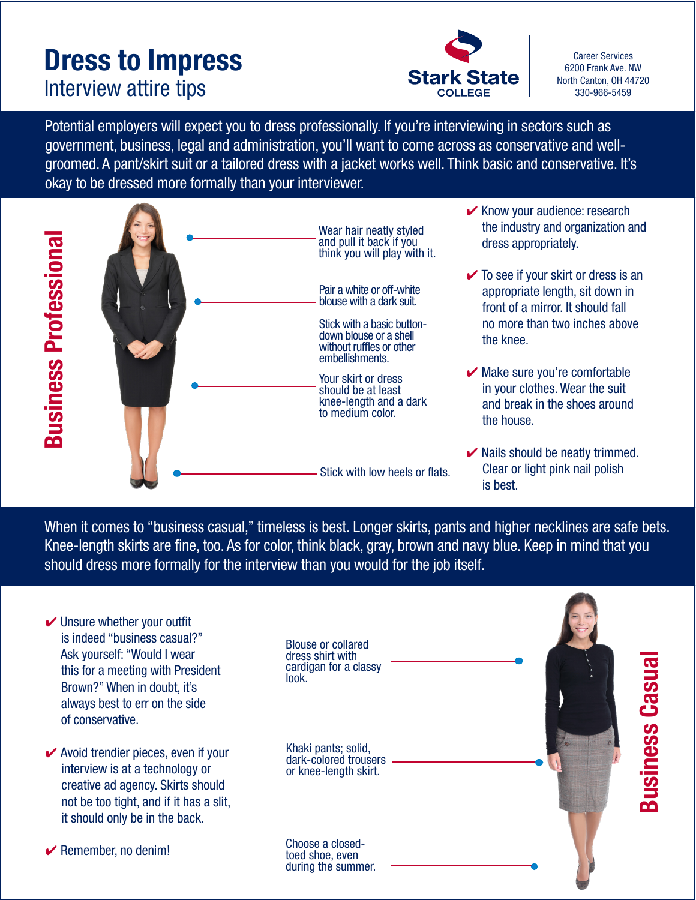## **Dress to Impress**<br> **Dress to Impress**<br> **Stark State Career Services**<br>
North Canton, OH 44720 Interview attire tips **Start State** and the state of the state of the state of the state of the state of the state of the state of the state of the state of the state of the state of the state of the state of the state of



6200 Frank Ave. NW

Potential employers will expect you to dress professionally. If you're interviewing in sectors such as government, business, legal and administration, you'll want to come across as conservative and wellgroomed. A pant/skirt suit or a tailored dress with a jacket works well. Think basic and conservative. It's okay to be dressed more formally than your interviewer.



| <b>Business Professional</b>                                                                                                                                                                                                                                                                                     | wcai naii ncauy stylcu<br>and pull it back if you<br>think you will play with it.<br>Pair a white or off-white<br>blouse with a dark suit.<br>Stick with a basic button-<br>down blouse or a shell<br>without ruffles or other<br>embellishments.<br>Your skirt or dress<br>should be at least<br>knee-length and a dark<br>to medium color. | dress appropriately.<br>$\checkmark$ To see if your skirt or dress is an<br>appropriate length, sit down in<br>front of a mirror. It should fall<br>no more than two inches above<br>the knee.<br>Make sure you're comfortable<br>in your clothes. Wear the suit<br>and break in the shoes around<br>the house. |
|------------------------------------------------------------------------------------------------------------------------------------------------------------------------------------------------------------------------------------------------------------------------------------------------------------------|----------------------------------------------------------------------------------------------------------------------------------------------------------------------------------------------------------------------------------------------------------------------------------------------------------------------------------------------|-----------------------------------------------------------------------------------------------------------------------------------------------------------------------------------------------------------------------------------------------------------------------------------------------------------------|
|                                                                                                                                                                                                                                                                                                                  | Stick with low heels or flats.                                                                                                                                                                                                                                                                                                               | ✔ Nails should be neatly trimmed.<br>Clear or light pink nail polish<br>is best.                                                                                                                                                                                                                                |
| When it comes to "business casual," timeless is best. Longer skirts, pants and higher necklines are safe bet<br>Knee-length skirts are fine, too. As for color, think black, gray, brown and navy blue. Keep in mind that you<br>should dress more formally for the interview than you would for the job itself. |                                                                                                                                                                                                                                                                                                                                              |                                                                                                                                                                                                                                                                                                                 |
| Unsure whether your outfit<br>is indeed "business casual?"<br>Ask yourself: "Would I wear<br>this for a meeting with President<br>Brown?" When in doubt, it's<br>always best to err on the side<br>of conservative.                                                                                              | <b>Blouse or collared</b><br>dress shirt with<br>cardigan for a classy<br>look.                                                                                                                                                                                                                                                              | <b>Casual</b><br><u>ဟ</u>                                                                                                                                                                                                                                                                                       |
| $\blacktriangleright$ Avoid trendier pieces, even if your<br>interview is at a technology or<br>creative ad agency. Skirts should<br>not be too tight, and if it has a slit,<br>it should only be in the back.                                                                                                   | Khaki pants; solid,<br>dark-colored trousers<br>or knee-length skirt.                                                                                                                                                                                                                                                                        | <b>Busin</b>                                                                                                                                                                                                                                                                                                    |
| $\blacktriangleright$ Remember, no denim!                                                                                                                                                                                                                                                                        | Choose a closed-<br>toed shoe, even<br>during the summer.                                                                                                                                                                                                                                                                                    |                                                                                                                                                                                                                                                                                                                 |